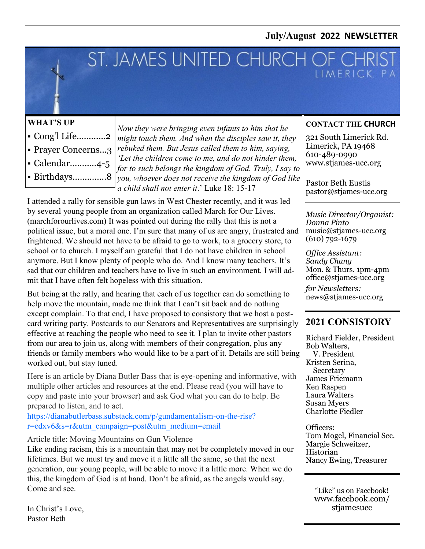## **July/August 2022 NEWSLETTER**

# ST. JAMES UNITED CHURCH OF C LIMERICK, PA

#### **WHAT'S UP**

- Cong'l Life……...…2
- Prayer Concerns...3
- Calendar……..…4-5
- Birthdays…………..8

*Now they were bringing even infants to him that he might touch them. And when the disciples saw it, they rebuked them. But Jesus called them to him, saying, 'Let the children come to me, and do not hinder them, for to such belongs the kingdom of God. Truly, I say to you, whoever does not receive the kingdom of God like a child shall not enter it*.' Luke 18: 15-17

I attended a rally for sensible gun laws in West Chester recently, and it was led by several young people from an organization called March for Our Lives. (marchforourlives.com) It was pointed out during the rally that this is not a political issue, but a moral one. I'm sure that many of us are angry, frustrated and frightened. We should not have to be afraid to go to work, to a grocery store, to school or to church. I myself am grateful that I do not have children in school anymore. But I know plenty of people who do. And I know many teachers. It's sad that our children and teachers have to live in such an environment. I will admit that I have often felt hopeless with this situation.

But being at the rally, and hearing that each of us together can do something to help move the mountain, made me think that I can't sit back and do nothing except complain. To that end, I have proposed to consistory that we host a postcard writing party. Postcards to our Senators and Representatives are surprisingly effective at reaching the people who need to see it. I plan to invite other pastors from our area to join us, along with members of their congregation, plus any friends or family members who would like to be a part of it. Details are still being worked out, but stay tuned.

Here is an article by Diana Butler Bass that is eye-opening and informative, with multiple other articles and resources at the end. Please read (you will have to copy and paste into your browser) and ask God what you can do to help. Be prepared to listen, and to act.

[https://dianabutlerbass.substack.com/p/gundamentalism](https://dianabutlerbass.substack.com/p/gundamentalism-on-the-rise?r=edxv6&s=r&utm_campaign=post&utm_medium=email)-on-the-rise? [r=edxv6&s=r&utm\\_campaign=post&utm\\_medium=email](https://dianabutlerbass.substack.com/p/gundamentalism-on-the-rise?r=edxv6&s=r&utm_campaign=post&utm_medium=email)

Article title: Moving Mountains on Gun Violence

Like ending racism, this is a mountain that may not be completely moved in our lifetimes. But we must try and move it a little all the same, so that the next generation, our young people, will be able to move it a little more. When we do this, the kingdom of God is at hand. Don't be afraid, as the angels would say. Come and see.

In Christ's Love, Pastor Beth

#### **CONTACT THE CHURCH**

321 South Limerick Rd. Limerick, PA 19468 610-489-0990 www.stjames-ucc.org

Pastor Beth Eustis pastor@stjames-ucc.org

*Music Director/Organist: Donna Pinto* music@stjames-ucc.org (610) 792-1679

*Office Assistant: Sandy Chang* Mon. & Thurs. 1pm-4pm office@stjames-ucc.org

*for Newsletters:* news@stjames-ucc.org

## **2021 CONSISTORY**

Richard Fielder, President Bob Walters, V. President Kristen Serina, Secretary James Friemann Ken Raspen Laura Walters Susan Myers Charlotte Fiedler

Officers: Tom Mogel, Financial Sec. Margie Schweitzer, Historian Nancy Ewing, Treasurer

> "Like" us on Facebook! www.facebook.com/ stjamesucc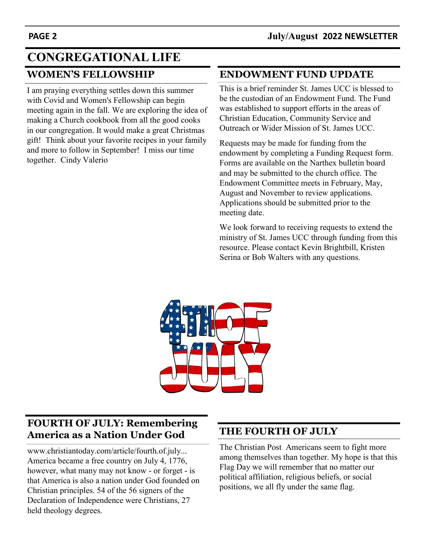# **CONGREGATIONAL LIFE**

# **WOMEN'S FELLOWSHIP**

I am praying everything settles down this summer with Covid and Women's Fellowship can begin meeting again in the fall. We are exploring the idea of making a Church cookbook from all the good cooks in our congregation. It would make a great Christmas gift! Think about your favorite recipes in your family and more to follow in September! I miss our time together. Cindy Valerio

# **ENDOWMENT FUND UPDATE**

This is a brief reminder St. James UCC is blessed to be the custodian of an Endowment Fund. The Fund was established to support efforts in the areas of Christian Education, Community Service and Outreach or Wider Mission of St. James UCC.

Requests may be made for funding from the endowment by completing a Funding Request form. Forms are available on the Narthex bulletin board and may be submitted to the church office. The Endowment Committee meets in February, May, August and November to review applications. Applications should be submitted prior to the meeting date.

We look forward to receiving requests to extend the ministry of St. James UCC through funding from this resource. Please contact Kevin Brightbill, Kristen Serina or Bob Walters with any questions.



# **FOURTH OF JULY: Remembering America as a Nation Under God**

www.christiantoday.com/article/fourth.of.july... America became a free country on July 4, 1776, however, what many may not know - or forget - is that America is also a nation under God founded on Christian principles. 54 of the 56 signers of the Declaration of Independence were Christians, 27 held theology degrees.

# **THE FOURTH OF JULY**

The Christian Post Americans seem to fight more among themselves than together. My hope is that this Flag Day we will remember that no matter our political affiliation, religious beliefs, or social positions, we all fly under the same flag.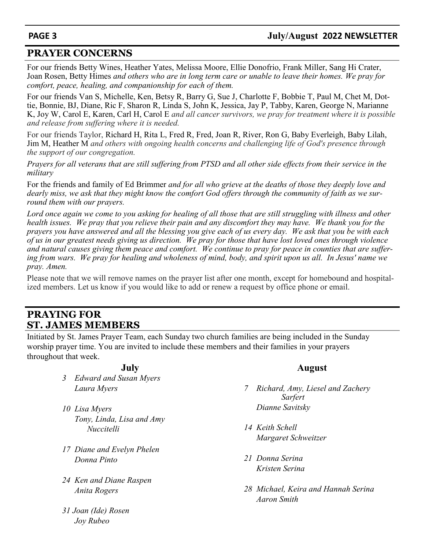## **PRAYER CONCERNS**

For our friends Betty Wines, Heather Yates, Melissa Moore, Ellie Donofrio, Frank Miller, Sang Hi Crater, Joan Rosen, Betty Himes *and others who are in long term care or unable to leave their homes. We pray for comfort, peace, healing, and companionship for each of them.*

For our friends Van S, Michelle, Ken, Betsy R, Barry G, Sue J, Charlotte F, Bobbie T, Paul M, Chet M, Dottie, Bonnie, BJ, Diane, Ric F, Sharon R, Linda S, John K, Jessica, Jay P, Tabby, Karen, George N, Marianne K, Joy W, Carol E, Karen, Carl H, Carol E *and all cancer survivors, we pray for treatment where it is possible and release from suffering where it is needed.*

For our friends Taylor, Richard H, Rita L, Fred R, Fred, Joan R, River, Ron G, Baby Everleigh, Baby Lilah, Jim M, Heather M *and others with ongoing health concerns and challenging life of God's presence through the support of our congregation.*

*Prayers for all veterans that are still suffering from PTSD and all other side effects from their service in the military*

For the friends and family of Ed Brimmer *and for all who grieve at the deaths of those they deeply love and dearly miss, we ask that they might know the comfort God offers through the community of faith as we surround them with our prayers.*

*Lord once again we come to you asking for healing of all those that are still struggling with illness and other health issues. We pray that you relieve their pain and any discomfort they may have. We thank you for the prayers you have answered and all the blessing you give each of us every day. We ask that you be with each of us in our greatest needs giving us direction. We pray for those that have lost loved ones through violence and natural causes giving them peace and comfort. We continue to pray for peace in counties that are suffering from wars. We pray for healing and wholeness of mind, body, and spirit upon us all. In Jesus' name we pray. Amen.*

Please note that we will remove names on the prayer list after one month, except for homebound and hospitalized members. Let us know if you would like to add or renew a request by office phone or email.

## **PRAYING FOR ST. JAMES MEMBERS**

Initiated by St. James Prayer Team, each Sunday two church families are being included in the Sunday worship prayer time. You are invited to include these members and their families in your prayers throughout that week.

#### **July**

- *3 Edward and Susan Myers Laura Myers*
- *10 Lisa Myers Tony, Linda, Lisa and Amy Nuccitelli*
- *17 Diane and Evelyn Phelen Donna Pinto*
- *24 Ken and Diane Raspen Anita Rogers*
- *31 Joan (Ide) Rosen Joy Rubeo*

## **August**

- *7 Richard, Amy, Liesel and Zachery Sarfert Dianne Savitsky*
- *14 Keith Schell Margaret Schweitzer*
- *21 Donna Serina Kristen Serina*
- *28 Michael, Keira and Hannah Serina Aaron Smith*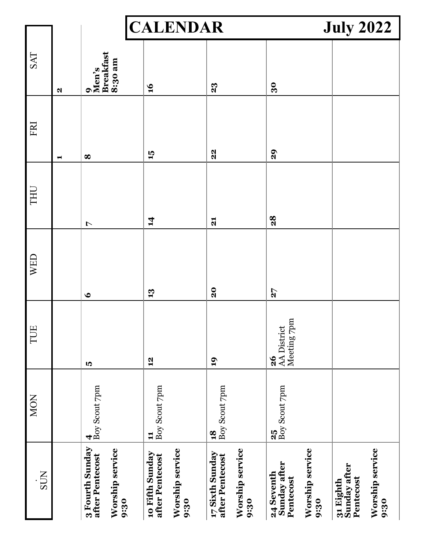|            |        |                                                               | <b>CALENDAR</b>                    |                                                               | <b>July 2022</b>                                                   |                         |                                                                   |
|------------|--------|---------------------------------------------------------------|------------------------------------|---------------------------------------------------------------|--------------------------------------------------------------------|-------------------------|-------------------------------------------------------------------|
| <b>TAS</b> | $\sim$ | <b>Breakfast</b><br>8:30 am<br>Men's<br>$\bullet$             | $\frac{6}{1}$                      | 23                                                            | 30                                                                 |                         |                                                                   |
| FRI        | ⊣      | $\infty$                                                      | 15                                 | 22                                                            | 29                                                                 |                         |                                                                   |
| THU        |        | $\overline{ }$                                                | $\vec{a}$                          | $\overline{\mathbf{a}}$                                       | 28                                                                 |                         |                                                                   |
| WED        |        | $\bullet$                                                     | $\boldsymbol{3}$                   | $\overline{2}$                                                | 27                                                                 |                         |                                                                   |
| IUE        |        | IQ.                                                           | 12                                 | $\mathbf{q}$                                                  | $\fbox{$\Delta$ A DistrictMeeting 7pm\n$<br>26                     |                         |                                                                   |
| <b>NON</b> |        | $\frac{4}{\text{Boy} \text{Scott} \text{7pm}}$                | Boy Scout 7pm<br>$\mathbf{1}$      | Boy Scout 7pm<br>$\overline{18}$                              | 25<br>Boy Scout 7pm                                                |                         |                                                                   |
| SUN        |        | 3 Fourth Sunday<br>Worship service<br>after Pentecost<br>9:30 | 10 Fifth Sunday<br>after Pentecost | Worship service<br>17 Sixth Sunday<br>after Pentecost<br>9:30 | Worship service<br>Sunday after<br>24 Seventh<br>Pentecost<br>9:30 | Worship service<br>9:30 | Worship service<br>31 Eighth<br>Sunday after<br>Pentecost<br>9:30 |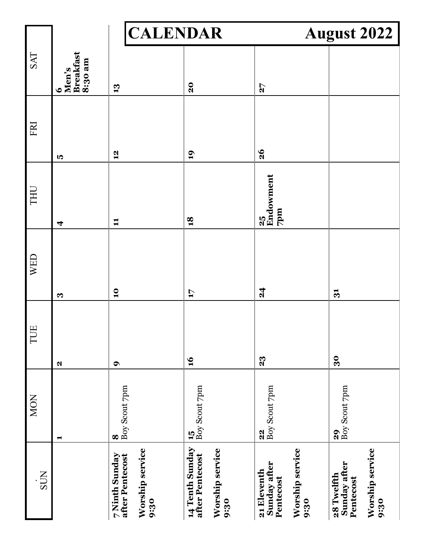|            |                                                    |                                   | <b>CALENDAR</b>         |                                    |                         |                                          | <b>August 2022</b>      |                                                                                                                                                                                                                                                                                                       |                         |
|------------|----------------------------------------------------|-----------------------------------|-------------------------|------------------------------------|-------------------------|------------------------------------------|-------------------------|-------------------------------------------------------------------------------------------------------------------------------------------------------------------------------------------------------------------------------------------------------------------------------------------------------|-------------------------|
| <b>SAT</b> | <b>Breakfast<br/>8:30 am</b><br>Men's<br>$\bullet$ | $\mathbf{r}_3$                    |                         | $\overline{2}0$                    |                         | $\overline{2}$                           |                         |                                                                                                                                                                                                                                                                                                       |                         |
| FRI        | LO                                                 | $\frac{2}{1}$                     |                         | $\mathbf{a}$                       |                         | 26                                       |                         |                                                                                                                                                                                                                                                                                                       |                         |
| THU        | $\overline{\mathbf{r}}$                            | $\mathbf{1}$                      |                         | 18                                 |                         | 25<br>Endowment<br>7pm                   |                         |                                                                                                                                                                                                                                                                                                       |                         |
| <b>WED</b> | $\infty$                                           | $\overline{10}$                   |                         | $\mathbf{r}$                       |                         | $\overline{a}$                           |                         | $\overline{31}$                                                                                                                                                                                                                                                                                       |                         |
| TUE        | $\mathbf{N}$                                       | $\bullet$                         |                         | $\mathbf{16}$                      |                         | 23                                       |                         | 30                                                                                                                                                                                                                                                                                                    |                         |
| <b>MON</b> | $\blacksquare$                                     | $\infty$                          | Boy Scout 7pm           | Boy Scout 7pm<br>15                |                         | Boy Scout 7pm<br>$\frac{2}{3}$           |                         | $\begin{array}{ l } \hline \textbf{29} \textbf{3} \textbf{3} \textbf{1} \textbf{2} \textbf{5} \textbf{5} \textbf{6} \textbf{7} \textbf{7} \textbf{7} \textbf{7} \textbf{7} \textbf{7} \textbf{8} \textbf{8} \textbf{7} \textbf{8} \textbf{9} \textbf{9} \textbf{1}} \hline \hline \hline \end{array}$ |                         |
| <b>SUN</b> |                                                    | 7 Ninth Sunday<br>after Pentecost | Worship service<br>9:30 | 14 Tenth Sunday<br>after Pentecost | Worship service<br>9:30 | Sunday after<br>Pentecost<br>21 Eleventh | Worship service<br>9:30 | Sunday after<br>28 Twelfth<br>Pentecost                                                                                                                                                                                                                                                               | Worship service<br>9:30 |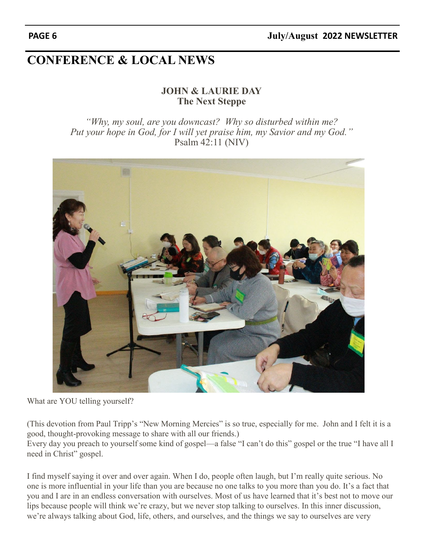#### **PAGE 6 July/August 2022 NEWSLETTER**

# **CONFERENCE & LOCAL NEWS**

#### **JOHN & LAURIE DAY The Next Steppe**

*"Why, my soul, are you downcast? Why so disturbed within me? Put your hope in God, for I will yet praise him, my Savior and my God."* Psalm 42:11 (NIV)



What are YOU telling yourself?

(This devotion from Paul Tripp's "New Morning Mercies" is so true, especially for me. John and I felt it is a good, thought-provoking message to share with all our friends.) Every day you preach to yourself some kind of gospel—a false "I can't do this" gospel or the true "I have all I need in Christ" gospel.

I find myself saying it over and over again. When I do, people often laugh, but I'm really quite serious. No one is more influential in your life than you are because no one talks to you more than you do. It's a fact that you and I are in an endless conversation with ourselves. Most of us have learned that it's best not to move our lips because people will think we're crazy, but we never stop talking to ourselves. In this inner discussion, we're always talking about God, life, others, and ourselves, and the things we say to ourselves are very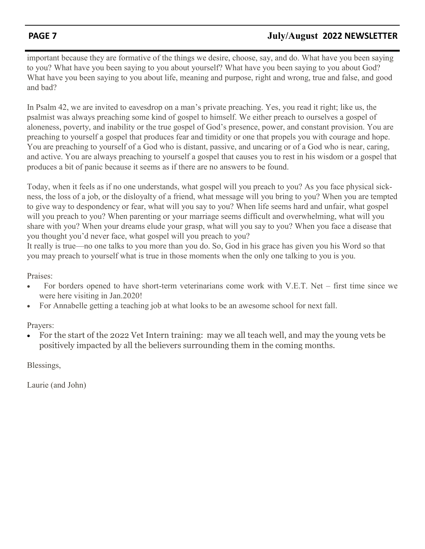## **PAGE 7 July/August 2022 NEWSLETTER**

important because they are formative of the things we desire, choose, say, and do. What have you been saying to you? What have you been saying to you about yourself? What have you been saying to you about God? What have you been saying to you about life, meaning and purpose, right and wrong, true and false, and good and bad?

In Psalm 42, we are invited to eavesdrop on a man's private preaching. Yes, you read it right; like us, the psalmist was always preaching some kind of gospel to himself. We either preach to ourselves a gospel of aloneness, poverty, and inability or the true gospel of God's presence, power, and constant provision. You are preaching to yourself a gospel that produces fear and timidity or one that propels you with courage and hope. You are preaching to yourself of a God who is distant, passive, and uncaring or of a God who is near, caring, and active. You are always preaching to yourself a gospel that causes you to rest in his wisdom or a gospel that produces a bit of panic because it seems as if there are no answers to be found.

Today, when it feels as if no one understands, what gospel will you preach to you? As you face physical sickness, the loss of a job, or the disloyalty of a friend, what message will you bring to you? When you are tempted to give way to despondency or fear, what will you say to you? When life seems hard and unfair, what gospel will you preach to you? When parenting or your marriage seems difficult and overwhelming, what will you share with you? When your dreams elude your grasp, what will you say to you? When you face a disease that you thought you'd never face, what gospel will you preach to you?

It really is true—no one talks to you more than you do. So, God in his grace has given you his Word so that you may preach to yourself what is true in those moments when the only one talking to you is you.

Praises:

- For borders opened to have short-term veterinarians come work with V.E.T. Net first time since we were here visiting in Jan.2020!
- For Annabelle getting a teaching job at what looks to be an awesome school for next fall.

Prayers:

• For the start of the 2022 Vet Intern training: may we all teach well, and may the young vets be positively impacted by all the believers surrounding them in the coming months.

Blessings,

Laurie (and John)